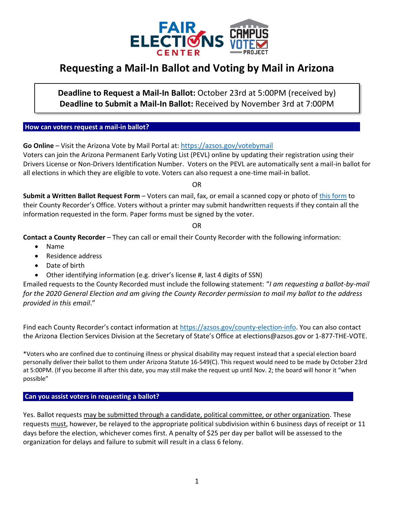

## **Requesting a Mail-In Ballot and Voting by Mail in Arizona**

**Deadline to Request a Mail-In Ballot:** October 23rd at 5:00PM (received by) **Deadline to Submit a Mail-In Ballot:** Received by November 3rd at 7:00PM

**How can voters request a mail-in ballot?** 

**Go Online** – Visit the Arizona Vote by Mail Portal at: <https://azsos.gov/votebymail> Voters can join the Arizona Permanent Early Voting List (PEVL) online by updating their registration using their Drivers License or Non-Drivers Identification Number. Voters on the PEVL are automatically sent a mail-in ballot for all elections in which they are eligible to vote. Voters can also request a one-time mail-in ballot.

OR

**Submit a Written Ballot Request Form** – Voters can mail, fax, or email a scanned copy or photo of [this form](https://azsos.gov/sites/default/files/20-AZS0S-0958_PEVL_Registration_Form_r09.pdf) to their County Recorder's Office. Voters without a printer may submit handwritten requests if they contain all the information requested in the form. Paper forms must be signed by the voter.

OR

**Contact a County Recorder** – They can call or email their County Recorder with the following information:

- Name
- Residence address
- Date of birth
- Other identifying information (e.g. driver's license #, last 4 digits of SSN)

Emailed requests to the County Recorded must include the following statement: "*I am requesting a ballot-by-mail for the 2020 General Election and am giving the County Recorder permission to mail my ballot to the address provided in this email*."

Find each County Recorder's contact information at [https://azsos.gov/county-election-info.](https://azsos.gov/county-election-info) You can also contact the Arizona Election Services Division at the Secretary of State's Office at elections@azsos.gov or 1-877-THE-VOTE.

\*Voters who are confined due to continuing illness or physical disability may request instead that a special election board personally deliver their ballot to them under Arizona Statute 16-549(C). This request would need to be made by October 23rd at 5:00PM. (If you become ill after this date, you may still make the request up until Nov. 2; the board will honor it "when possible"

**Can you assist voters in requesting a ballot?** 

Yes. Ballot requests may be submitted through a candidate, political committee, or other organization. These requests must, however, be relayed to the appropriate political subdivision within 6 business days of receipt or 11 days before the election, whichever comes first. A penalty of \$25 per day per ballot will be assessed to the organization for delays and failure to submit will result in a class 6 felony.